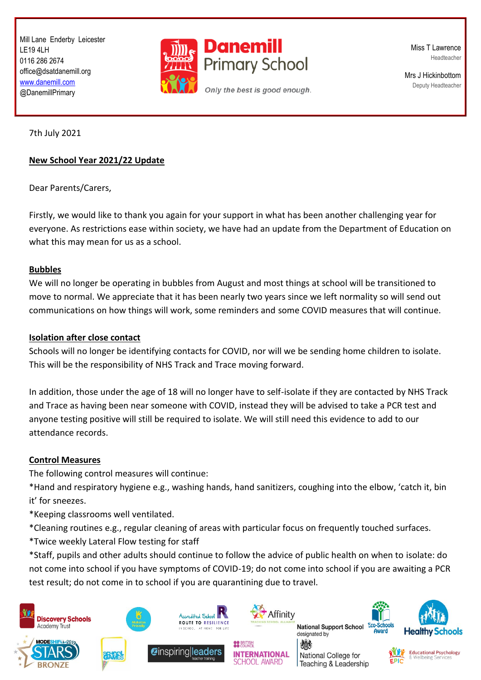Mill Lane Enderby Leicester LE19 4LH 0116 286 2674 office@dsatdanemill.org [www.danemill.com](http://www.danemill.com/) @DanemillPrimary



Miss T Lawrence Headteacher

Mrs J Hickinbottom Deputy Headteacher

7th July 2021

### **New School Year 2021/22 Update**

Dear Parents/Carers,

Firstly, we would like to thank you again for your support in what has been another challenging year for everyone. As restrictions ease within society, we have had an update from the Department of Education on what this may mean for us as a school.

#### **Bubbles**

We will no longer be operating in bubbles from August and most things at school will be transitioned to move to normal. We appreciate that it has been nearly two years since we left normality so will send out communications on how things will work, some reminders and some COVID measures that will continue.

### **Isolation after close contact**

Schools will no longer be identifying contacts for COVID, nor will we be sending home children to isolate. This will be the responsibility of NHS Track and Trace moving forward.

In addition, those under the age of 18 will no longer have to self-isolate if they are contacted by NHS Track and Trace as having been near someone with COVID, instead they will be advised to take a PCR test and anyone testing positive will still be required to isolate. We will still need this evidence to add to our attendance records.

### **Control Measures**

The following control measures will continue:

\*Hand and respiratory hygiene e.g., washing hands, hand sanitizers, coughing into the elbow, 'catch it, bin it' for sneezes.

\*Keeping classrooms well ventilated.

\*Cleaning routines e.g., regular cleaning of areas with particular focus on frequently touched surfaces.

\*Twice weekly Lateral Flow testing for staff

\*Staff, pupils and other adults should continue to follow the advice of public health on when to isolate: do not come into school if you have symptoms of COVID-19; do not come into school if you are awaiting a PCR test result; do not come in to school if you are quarantining due to travel.







**Zinspiring leaders** 



**INTERNATIONAL** 

**CHOOL AWARD** 

微

**National Support School Ecc** designated by

National College for

Teaching & Leadership





**Educational Psychology Wellbeing Service**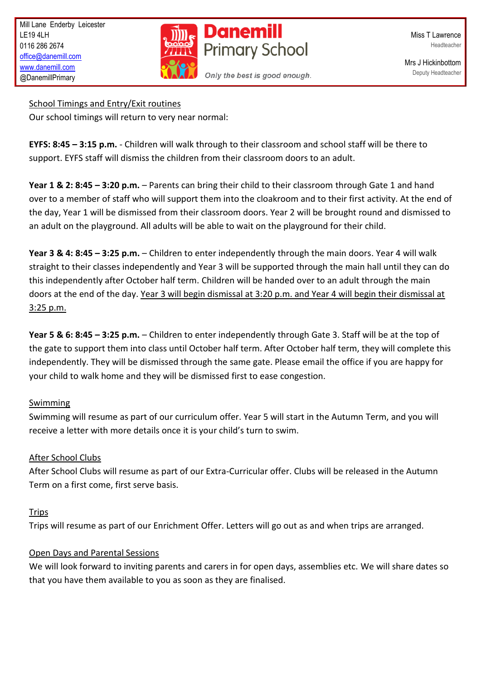

Miss T Lawrence Headteacher

Mrs J Hickinbottom Deputy Headteacher

School Timings and Entry/Exit routines

Our school timings will return to very near normal:

**EYFS: 8:45 – 3:15 p.m.** - Children will walk through to their classroom and school staff will be there to support. EYFS staff will dismiss the children from their classroom doors to an adult.

**Year 1 & 2: 8:45 – 3:20 p.m.** – Parents can bring their child to their classroom through Gate 1 and hand over to a member of staff who will support them into the cloakroom and to their first activity. At the end of the day, Year 1 will be dismissed from their classroom doors. Year 2 will be brought round and dismissed to an adult on the playground. All adults will be able to wait on the playground for their child.

**Year 3 & 4: 8:45 – 3:25 p.m.** – Children to enter independently through the main doors. Year 4 will walk straight to their classes independently and Year 3 will be supported through the main hall until they can do this independently after October half term. Children will be handed over to an adult through the main doors at the end of the day. Year 3 will begin dismissal at 3:20 p.m. and Year 4 will begin their dismissal at 3:25 p.m.

**Year 5 & 6: 8:45 – 3:25 p.m.** – Children to enter independently through Gate 3. Staff will be at the top of the gate to support them into class until October half term. After October half term, they will complete this independently. They will be dismissed through the same gate. Please email the office if you are happy for your child to walk home and they will be dismissed first to ease congestion.

## Swimming

Swimming will resume as part of our curriculum offer. Year 5 will start in the Autumn Term, and you will receive a letter with more details once it is your child's turn to swim.

# After School Clubs

After School Clubs will resume as part of our Extra-Curricular offer. Clubs will be released in the Autumn Term on a first come, first serve basis.

## **Trips**

Trips will resume as part of our Enrichment Offer. Letters will go out as and when trips are arranged.

## Open Days and Parental Sessions

We will look forward to inviting parents and carers in for open days, assemblies etc. We will share dates so that you have them available to you as soon as they are finalised.